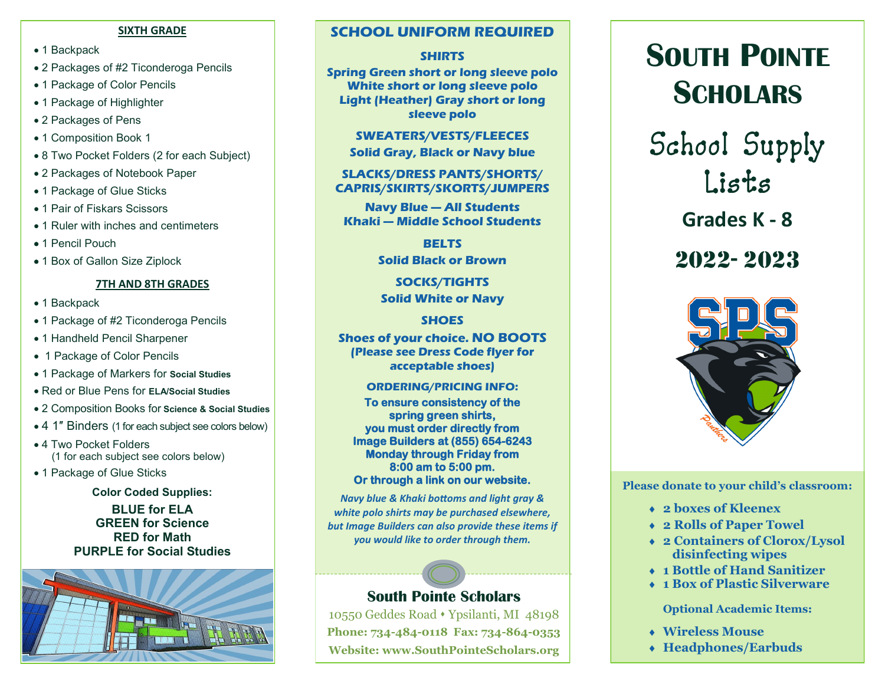#### **SIXTH GRADE**

- 1 Backpack
- 2 Packages of #2 Ticonderoga Pencils
- 1 Package of Color Pencils
- 1 Package of Highlighter
- 2 Packages of Pens
- 1 Composition Book 1
- 8 Two Pocket Folders (2 for each Subject)
- 2 Packages of Notebook Paper
- 1 Package of Glue Sticks
- 1 Pair of Fiskars Scissors
- 1 Ruler with inches and centimeters
- 1 Pencil Pouch
- 1 Box of Gallon Size Ziplock

# **7TH AND 8TH GRADES**

- 1 Backpack
- 1 Package of #2 Ticonderoga Pencils
- 1 Handheld Pencil Sharpener
- 1 Package of Color Pencils
- 1 Package of Markers for **Social Studies**
- Red or Blue Pens for **ELA/Social Studies**
- 2 Composition Books for **Science & Social Studies**
- 4 1″ Binders (1 for each subject see colors below)
- 4 Two Pocket Folders (1 for each subject see colors below)
- 1 Package of Glue Sticks

**Color Coded Supplies:**

**BLUE for ELA GREEN for Science RED for Math PURPLE for Social Studies**



# **SCHOOL UNIFORM REQUIRED**

# **SHIRTS**

**Spring Green short or long sleeve polo White short or long sleeve polo Light (Heather) Gray short or long sleeve polo**

> **SWEATERS/VESTS/FLEECES Solid Gray, Black or Navy blue**

**SLACKS/DRESS PANTS/SHORTS/ CAPRIS/SKIRTS/SKORTS/JUMPERS**

**Navy Blue — All Students Khaki — Middle School Students**

> **BELTS Solid Black or Brown**

**SOCKS/TIGHTS Solid White or Navy**

# **SHOES**

**Shoes of your choice. NO BOOTS (Please see Dress Code flyer for acceptable shoes)**

### **ORDERING/PRICING INFO:**

**To ensure consistency of the spring green shirts, you must order directly from Image Builders at (855) 654-6243 Monday through Friday from 8:00 am to 5:00 pm. Or through a link on our website.** 

*Navy blue & Khaki bottoms and light gray & white polo shirts may be purchased elsewhere, but Image Builders can also provide these items if you would like to order through them.*

# **South Pointe Scholars**

10550 Geddes Road ⬧ Ypsilanti, MI 48198 **Phone: 734-484-0118 Fax: 734-864-0353 Website: www.SouthPointeScholars.org**

# **SOUTH POINTE SCHOLARS**

School Supply Lists

**Grades K - 8**

2022- 2023



**Please donate to your child's classroom:**

- **2 boxes of Kleenex**
- **2 Rolls of Paper Towel**
- **2 Containers of Clorox/Lysol disinfecting wipes**
- **1 Bottle of Hand Sanitizer**
- **1 Box of Plastic Silverware**

**Optional Academic Items:**

- **Wireless Mouse**
- **Headphones/Earbuds**